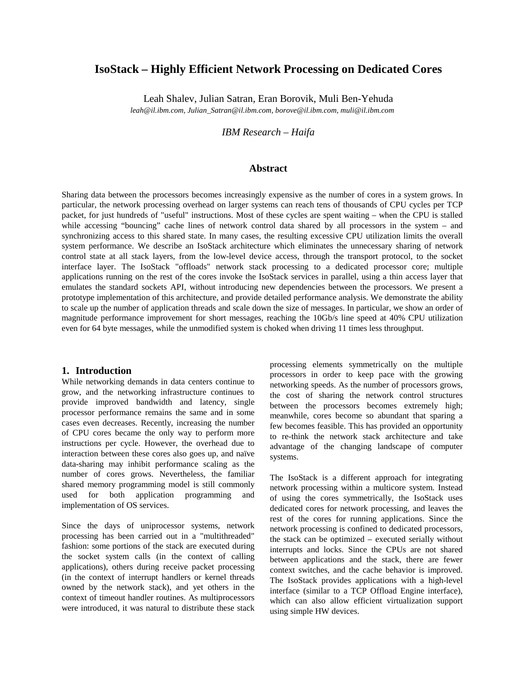# **IsoStack – Highly Efficient Network Processing on Dedicated Cores**

Leah Shalev, Julian Satran, Eran Borovik, Muli Ben-Yehuda

*leah@il.ibm.com, Julian\_Satran@il.ibm.com, borove@il.ibm.com, muli@il.ibm.com*

*IBM Research – Haifa* 

#### **Abstract**

Sharing data between the processors becomes increasingly expensive as the number of cores in a system grows. In particular, the network processing overhead on larger systems can reach tens of thousands of CPU cycles per TCP packet, for just hundreds of "useful" instructions. Most of these cycles are spent waiting – when the CPU is stalled while accessing "bouncing" cache lines of network control data shared by all processors in the system – and synchronizing access to this shared state. In many cases, the resulting excessive CPU utilization limits the overall system performance. We describe an IsoStack architecture which eliminates the unnecessary sharing of network control state at all stack layers, from the low-level device access, through the transport protocol, to the socket interface layer. The IsoStack "offloads" network stack processing to a dedicated processor core; multiple applications running on the rest of the cores invoke the IsoStack services in parallel, using a thin access layer that emulates the standard sockets API, without introducing new dependencies between the processors. We present a prototype implementation of this architecture, and provide detailed performance analysis. We demonstrate the ability to scale up the number of application threads and scale down the size of messages. In particular, we show an order of magnitude performance improvement for short messages, reaching the 10Gb/s line speed at 40% CPU utilization even for 64 byte messages, while the unmodified system is choked when driving 11 times less throughput.

#### **1. Introduction**

While networking demands in data centers continue to grow, and the networking infrastructure continues to provide improved bandwidth and latency, single processor performance remains the same and in some cases even decreases. Recently, increasing the number of CPU cores became the only way to perform more instructions per cycle. However, the overhead due to interaction between these cores also goes up, and naïve data-sharing may inhibit performance scaling as the number of cores grows. Nevertheless, the familiar shared memory programming model is still commonly used for both application programming and implementation of OS services.

Since the days of uniprocessor systems, network processing has been carried out in a "multithreaded" fashion: some portions of the stack are executed during the socket system calls (in the context of calling applications), others during receive packet processing (in the context of interrupt handlers or kernel threads owned by the network stack), and yet others in the context of timeout handler routines. As multiprocessors were introduced, it was natural to distribute these stack

processing elements symmetrically on the multiple processors in order to keep pace with the growing networking speeds. As the number of processors grows, the cost of sharing the network control structures between the processors becomes extremely high; meanwhile, cores become so abundant that sparing a few becomes feasible. This has provided an opportunity to re-think the network stack architecture and take advantage of the changing landscape of computer systems.

The IsoStack is a different approach for integrating network processing within a multicore system. Instead of using the cores symmetrically, the IsoStack uses dedicated cores for network processing, and leaves the rest of the cores for running applications. Since the network processing is confined to dedicated processors, the stack can be optimized – executed serially without interrupts and locks. Since the CPUs are not shared between applications and the stack, there are fewer context switches, and the cache behavior is improved. The IsoStack provides applications with a high-level interface (similar to a TCP Offload Engine interface), which can also allow efficient virtualization support using simple HW devices.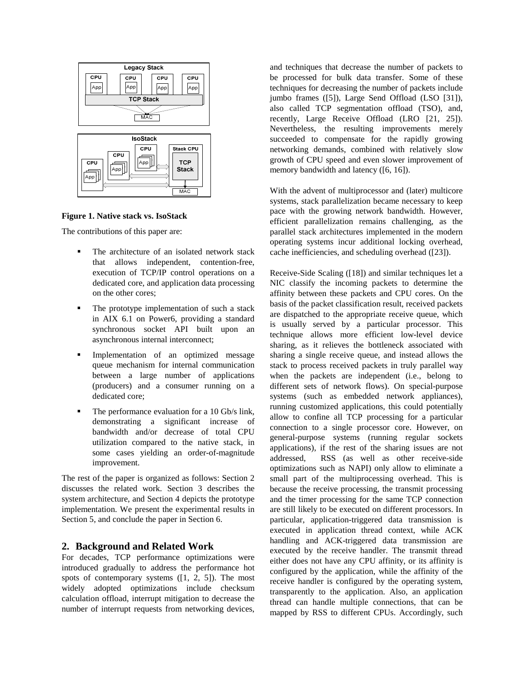

**Figure 1. Native stack vs. IsoStack** 

The contributions of this paper are:

- The architecture of an isolated network stack that allows independent, contention-free, execution of TCP/IP control operations on a dedicated core, and application data processing on the other cores;
- The prototype implementation of such a stack in AIX 6.1 on Power6, providing a standard synchronous socket API built upon an asynchronous internal interconnect;
- Implementation of an optimized message queue mechanism for internal communication between a large number of applications (producers) and a consumer running on a dedicated core;
- The performance evaluation for a 10 Gb/s link, demonstrating a significant increase of bandwidth and/or decrease of total CPU utilization compared to the native stack, in some cases yielding an order-of-magnitude improvement.

The rest of the paper is organized as follows: Section 2 discusses the related work. Section 3 describes the system architecture, and Section 4 depicts the prototype implementation. We present the experimental results in Section 5, and conclude the paper in Section 6.

## **2. Background and Related Work**

For decades, TCP performance optimizations were introduced gradually to address the performance hot spots of contemporary systems ([1, 2, 5]). The most widely adopted optimizations include checksum calculation offload, interrupt mitigation to decrease the number of interrupt requests from networking devices,

and techniques that decrease the number of packets to be processed for bulk data transfer. Some of these techniques for decreasing the number of packets include jumbo frames ([5]), Large Send Offload (LSO [31]), also called TCP segmentation offload (TSO), and, recently, Large Receive Offload (LRO [21, 25]). Nevertheless, the resulting improvements merely succeeded to compensate for the rapidly growing networking demands, combined with relatively slow growth of CPU speed and even slower improvement of memory bandwidth and latency ([6, 16]).

With the advent of multiprocessor and (later) multicore systems, stack parallelization became necessary to keep pace with the growing network bandwidth. However, efficient parallelization remains challenging, as the parallel stack architectures implemented in the modern operating systems incur additional locking overhead, cache inefficiencies, and scheduling overhead ([23]).

Receive-Side Scaling ([18]) and similar techniques let a NIC classify the incoming packets to determine the affinity between these packets and CPU cores. On the basis of the packet classification result, received packets are dispatched to the appropriate receive queue, which is usually served by a particular processor. This technique allows more efficient low-level device sharing, as it relieves the bottleneck associated with sharing a single receive queue, and instead allows the stack to process received packets in truly parallel way when the packets are independent (i.e., belong to different sets of network flows). On special-purpose systems (such as embedded network appliances), running customized applications, this could potentially allow to confine all TCP processing for a particular connection to a single processor core. However, on general-purpose systems (running regular sockets applications), if the rest of the sharing issues are not addressed, RSS (as well as other receive-side optimizations such as NAPI) only allow to eliminate a small part of the multiprocessing overhead. This is because the receive processing, the transmit processing and the timer processing for the same TCP connection are still likely to be executed on different processors. In particular, application-triggered data transmission is executed in application thread context, while ACK handling and ACK-triggered data transmission are executed by the receive handler. The transmit thread either does not have any CPU affinity, or its affinity is configured by the application, while the affinity of the receive handler is configured by the operating system, transparently to the application. Also, an application thread can handle multiple connections, that can be mapped by RSS to different CPUs. Accordingly, such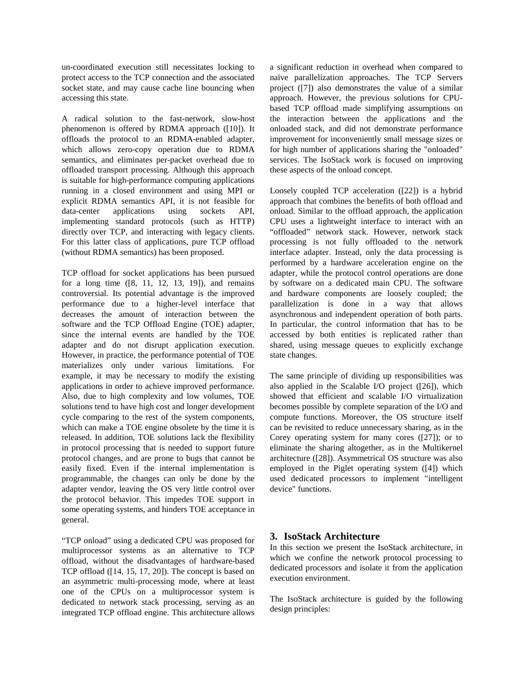un-coordinated execution still necessitates locking to protect access to the TCP connection and the associated socket state, and may cause cache line bouncing when accessing this state.

A radical solution to the fast-network, slow-host phenomenon is offered by RDMA approach ([10]). It offloads the protocol to an RDMA-enabled adapter, which allows zero-copy operation due to RDMA semantics, and eliminates per-packet overhead due to offloaded transport processing. Although this approach is suitable for high-performance computing applications running in a closed environment and using MPI or explicit RDMA semantics API, it is not feasible for data-center applications using sockets API, implementing standard protocols (such as HTTP) directly over TCP, and interacting with legacy clients. For this latter class of applications, pure TCP offload (without RDMA semantics) has been proposed.

TCP offload for socket applications has been pursued for a long time ([8, 11, 12, 13, 19]), and remains controversial. Its potential advantage is the improved performance due to a higher-level interface that decreases the amount of interaction between the software and the TCP Offload Engine (TOE) adapter, since the internal events are handled by the TOE adapter and do not disrupt application execution. However, in practice, the performance potential of TOE materializes only under various limitations. For example, it may be necessary to modify the existing applications in order to achieve improved performance. Also, due to high complexity and low volumes, TOE solutions tend to have high cost and longer development cycle comparing to the rest of the system components, which can make a TOE engine obsolete by the time it is released. In addition, TOE solutions lack the flexibility in protocol processing that is needed to support future protocol changes, and are prone to bugs that cannot be easily fixed. Even if the internal implementation is programmable, the changes can only be done by the adapter vendor, leaving the OS very little control over the protocol behavior. This impedes TOE support in some operating systems, and hinders TOE acceptance in general.

"TCP onload" using a dedicated CPU was proposed for multiprocessor systems as an alternative to TCP offload, without the disadvantages of hardware-based TCP offload ([14, 15, 17, 20]). The concept is based on an asymmetric multi-processing mode, where at least one of the CPUs on a multiprocessor system is dedicated to network stack processing, serving as an integrated TCP offload engine. This architecture allows

a significant reduction in overhead when compared to naïve parallelization approaches. The TCP Servers project ([7]) also demonstrates the value of a similar approach. However, the previous solutions for CPUbased TCP offload made simplifying assumptions on the interaction between the applications and the onloaded stack, and did not demonstrate performance improvement for inconveniently small message sizes or for high number of applications sharing the "onloaded" services. The IsoStack work is focused on improving these aspects of the onload concept.

Loosely coupled TCP acceleration ([22]) is a hybrid approach that combines the benefits of both offload and onload. Similar to the offload approach, the application CPU uses a lightweight interface to interact with an "offloaded" network stack. However, network stack processing is not fully offloaded to the network interface adapter. Instead, only the data processing is performed by a hardware acceleration engine on the adapter, while the protocol control operations are done by software on a dedicated main CPU. The software and hardware components are loosely coupled; the parallelization is done in a way that allows asynchronous and independent operation of both parts. In particular, the control information that has to be accessed by both entities is replicated rather than shared, using message queues to explicitly exchange state changes.

The same principle of dividing up responsibilities was also applied in the Scalable I/O project ([26]), which showed that efficient and scalable I/O virtualization becomes possible by complete separation of the I/O and compute functions. Moreover, the OS structure itself can be revisited to reduce unnecessary sharing, as in the Corey operating system for many cores ([27]); or to eliminate the sharing altogether, as in the Multikernel architecture ([28]). Asymmetrical OS structure was also employed in the Piglet operating system ([4]) which used dedicated processors to implement "intelligent device" functions.

#### **3. IsoStack Architecture**

In this section we present the IsoStack architecture, in which we confine the network protocol processing to dedicated processors and isolate it from the application execution environment.

The IsoStack architecture is guided by the following design principles: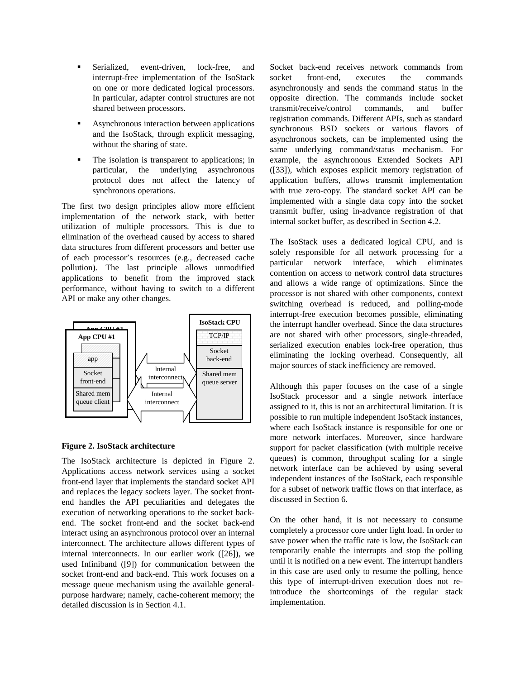- Serialized, event-driven, lock-free, and interrupt-free implementation of the IsoStack on one or more dedicated logical processors. In particular, adapter control structures are not shared between processors.
- Asynchronous interaction between applications and the IsoStack, through explicit messaging, without the sharing of state.
- The isolation is transparent to applications; in particular, the underlying asynchronous protocol does not affect the latency of synchronous operations.

The first two design principles allow more efficient implementation of the network stack, with better utilization of multiple processors. This is due to elimination of the overhead caused by access to shared data structures from different processors and better use of each processor's resources (e.g., decreased cache pollution). The last principle allows unmodified applications to benefit from the improved stack performance, without having to switch to a different API or make any other changes.



#### **Figure 2. IsoStack architecture**

The IsoStack architecture is depicted in Figure 2. Applications access network services using a socket front-end layer that implements the standard socket API and replaces the legacy sockets layer. The socket frontend handles the API peculiarities and delegates the execution of networking operations to the socket backend. The socket front-end and the socket back-end interact using an asynchronous protocol over an internal interconnect. The architecture allows different types of internal interconnects. In our earlier work ([26]), we used Infiniband ([9]) for communication between the socket front-end and back-end. This work focuses on a message queue mechanism using the available generalpurpose hardware; namely, cache-coherent memory; the detailed discussion is in Section 4.1.

Socket back-end receives network commands from socket front-end, executes the commands asynchronously and sends the command status in the opposite direction. The commands include socket transmit/receive/control commands, and buffer registration commands. Different APIs, such as standard synchronous BSD sockets or various flavors of asynchronous sockets, can be implemented using the same underlying command/status mechanism. For example, the asynchronous Extended Sockets API ([33]), which exposes explicit memory registration of application buffers, allows transmit implementation with true zero-copy. The standard socket API can be implemented with a single data copy into the socket transmit buffer, using in-advance registration of that internal socket buffer, as described in Section 4.2.

The IsoStack uses a dedicated logical CPU, and is solely responsible for all network processing for a particular network interface, which eliminates contention on access to network control data structures and allows a wide range of optimizations. Since the processor is not shared with other components, context switching overhead is reduced, and polling-mode interrupt-free execution becomes possible, eliminating the interrupt handler overhead. Since the data structures are not shared with other processors, single-threaded, serialized execution enables lock-free operation, thus eliminating the locking overhead. Consequently, all major sources of stack inefficiency are removed.

Although this paper focuses on the case of a single IsoStack processor and a single network interface assigned to it, this is not an architectural limitation. It is possible to run multiple independent IsoStack instances, where each IsoStack instance is responsible for one or more network interfaces. Moreover, since hardware support for packet classification (with multiple receive queues) is common, throughput scaling for a single network interface can be achieved by using several independent instances of the IsoStack, each responsible for a subset of network traffic flows on that interface, as discussed in Section 6.

On the other hand, it is not necessary to consume completely a processor core under light load. In order to save power when the traffic rate is low, the IsoStack can temporarily enable the interrupts and stop the polling until it is notified on a new event. The interrupt handlers in this case are used only to resume the polling, hence this type of interrupt-driven execution does not reintroduce the shortcomings of the regular stack implementation.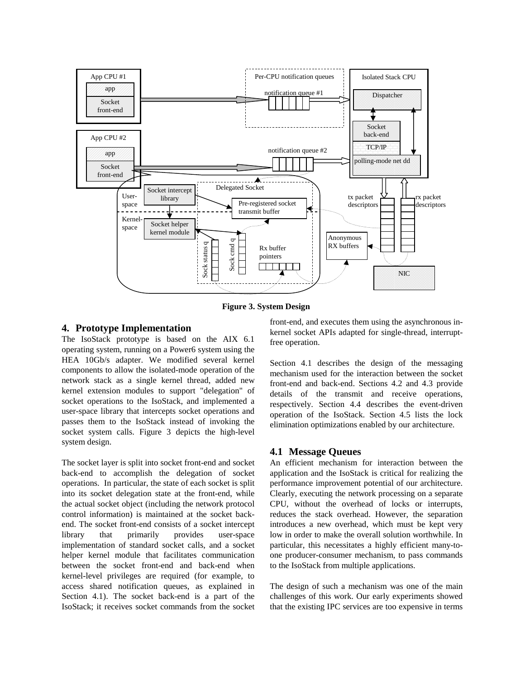

**Figure 3. System Design** 

### **4. Prototype Implementation**

The IsoStack prototype is based on the AIX 6.1 operating system, running on a Power6 system using the HEA 10Gb/s adapter. We modified several kernel components to allow the isolated-mode operation of the network stack as a single kernel thread, added new kernel extension modules to support "delegation" of socket operations to the IsoStack, and implemented a user-space library that intercepts socket operations and passes them to the IsoStack instead of invoking the socket system calls. Figure 3 depicts the high-level system design.

The socket layer is split into socket front-end and socket back-end to accomplish the delegation of socket operations. In particular, the state of each socket is split into its socket delegation state at the front-end, while the actual socket object (including the network protocol control information) is maintained at the socket backend. The socket front-end consists of a socket intercept library that primarily provides user-space implementation of standard socket calls, and a socket helper kernel module that facilitates communication between the socket front-end and back-end when kernel-level privileges are required (for example, to access shared notification queues, as explained in Section 4.1). The socket back-end is a part of the IsoStack; it receives socket commands from the socket

front-end, and executes them using the asynchronous inkernel socket APIs adapted for single-thread, interruptfree operation.

Section 4.1 describes the design of the messaging mechanism used for the interaction between the socket front-end and back-end. Sections 4.2 and 4.3 provide details of the transmit and receive operations, respectively. Section 4.4 describes the event-driven operation of the IsoStack. Section 4.5 lists the lock elimination optimizations enabled by our architecture.

## **4.1 Message Queues**

An efficient mechanism for interaction between the application and the IsoStack is critical for realizing the performance improvement potential of our architecture. Clearly, executing the network processing on a separate CPU, without the overhead of locks or interrupts, reduces the stack overhead. However, the separation introduces a new overhead, which must be kept very low in order to make the overall solution worthwhile. In particular, this necessitates a highly efficient many-toone producer-consumer mechanism, to pass commands to the IsoStack from multiple applications.

The design of such a mechanism was one of the main challenges of this work. Our early experiments showed that the existing IPC services are too expensive in terms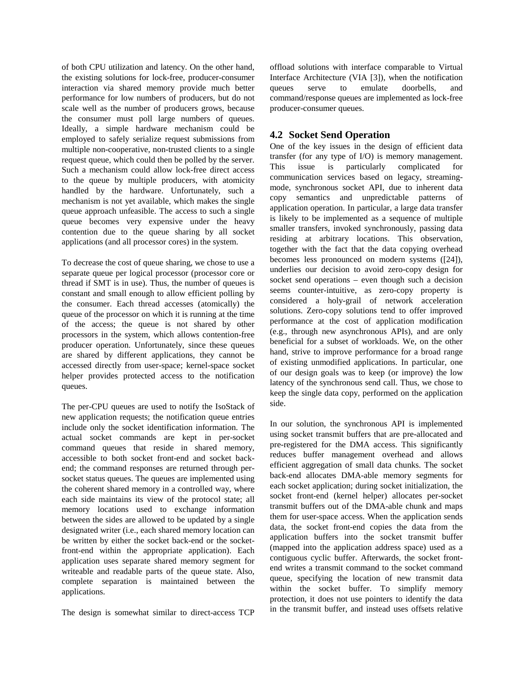of both CPU utilization and latency. On the other hand, the existing solutions for lock-free, producer-consumer interaction via shared memory provide much better performance for low numbers of producers, but do not scale well as the number of producers grows, because the consumer must poll large numbers of queues. Ideally, a simple hardware mechanism could be employed to safely serialize request submissions from multiple non-cooperative, non-trusted clients to a single request queue, which could then be polled by the server. Such a mechanism could allow lock-free direct access to the queue by multiple producers, with atomicity handled by the hardware. Unfortunately, such a mechanism is not yet available, which makes the single queue approach unfeasible. The access to such a single queue becomes very expensive under the heavy contention due to the queue sharing by all socket applications (and all processor cores) in the system.

To decrease the cost of queue sharing, we chose to use a separate queue per logical processor (processor core or thread if SMT is in use). Thus, the number of queues is constant and small enough to allow efficient polling by the consumer. Each thread accesses (atomically) the queue of the processor on which it is running at the time of the access; the queue is not shared by other processors in the system, which allows contention-free producer operation. Unfortunately, since these queues are shared by different applications, they cannot be accessed directly from user-space; kernel-space socket helper provides protected access to the notification queues.

The per-CPU queues are used to notify the IsoStack of new application requests; the notification queue entries include only the socket identification information. The actual socket commands are kept in per-socket command queues that reside in shared memory, accessible to both socket front-end and socket backend; the command responses are returned through persocket status queues. The queues are implemented using the coherent shared memory in a controlled way, where each side maintains its view of the protocol state; all memory locations used to exchange information between the sides are allowed to be updated by a single designated writer (i.e., each shared memory location can be written by either the socket back-end or the socketfront-end within the appropriate application). Each application uses separate shared memory segment for writeable and readable parts of the queue state. Also, complete separation is maintained between the applications.

The design is somewhat similar to direct-access TCP

offload solutions with interface comparable to Virtual Interface Architecture (VIA [3]), when the notification queues serve to emulate doorbells, and command/response queues are implemented as lock-free producer-consumer queues.

# **4.2 Socket Send Operation**

One of the key issues in the design of efficient data transfer (for any type of I/O) is memory management. This issue is particularly complicated for communication services based on legacy, streamingmode, synchronous socket API, due to inherent data copy semantics and unpredictable patterns of application operation. In particular, a large data transfer is likely to be implemented as a sequence of multiple smaller transfers, invoked synchronously, passing data residing at arbitrary locations. This observation, together with the fact that the data copying overhead becomes less pronounced on modern systems ([24]), underlies our decision to avoid zero-copy design for socket send operations – even though such a decision seems counter-intuitive, as zero-copy property is considered a holy-grail of network acceleration solutions. Zero-copy solutions tend to offer improved performance at the cost of application modification (e.g., through new asynchronous APIs), and are only beneficial for a subset of workloads. We, on the other hand, strive to improve performance for a broad range of existing unmodified applications. In particular, one of our design goals was to keep (or improve) the low latency of the synchronous send call. Thus, we chose to keep the single data copy, performed on the application side.

In our solution, the synchronous API is implemented using socket transmit buffers that are pre-allocated and pre-registered for the DMA access. This significantly reduces buffer management overhead and allows efficient aggregation of small data chunks. The socket back-end allocates DMA-able memory segments for each socket application; during socket initialization, the socket front-end (kernel helper) allocates per-socket transmit buffers out of the DMA-able chunk and maps them for user-space access. When the application sends data, the socket front-end copies the data from the application buffers into the socket transmit buffer (mapped into the application address space) used as a contiguous cyclic buffer. Afterwards, the socket frontend writes a transmit command to the socket command queue, specifying the location of new transmit data within the socket buffer. To simplify memory protection, it does not use pointers to identify the data in the transmit buffer, and instead uses offsets relative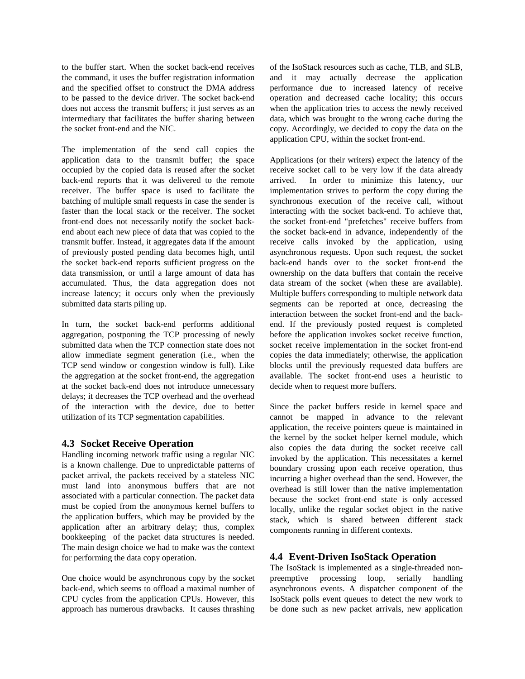to the buffer start. When the socket back-end receives the command, it uses the buffer registration information and the specified offset to construct the DMA address to be passed to the device driver. The socket back-end does not access the transmit buffers; it just serves as an intermediary that facilitates the buffer sharing between the socket front-end and the NIC.

The implementation of the send call copies the application data to the transmit buffer; the space occupied by the copied data is reused after the socket back-end reports that it was delivered to the remote receiver. The buffer space is used to facilitate the batching of multiple small requests in case the sender is faster than the local stack or the receiver. The socket front-end does not necessarily notify the socket backend about each new piece of data that was copied to the transmit buffer. Instead, it aggregates data if the amount of previously posted pending data becomes high, until the socket back-end reports sufficient progress on the data transmission, or until a large amount of data has accumulated. Thus, the data aggregation does not increase latency; it occurs only when the previously submitted data starts piling up.

In turn, the socket back-end performs additional aggregation, postponing the TCP processing of newly submitted data when the TCP connection state does not allow immediate segment generation (i.e., when the TCP send window or congestion window is full). Like the aggregation at the socket front-end, the aggregation at the socket back-end does not introduce unnecessary delays; it decreases the TCP overhead and the overhead of the interaction with the device, due to better utilization of its TCP segmentation capabilities.

## **4.3 Socket Receive Operation**

Handling incoming network traffic using a regular NIC is a known challenge. Due to unpredictable patterns of packet arrival, the packets received by a stateless NIC must land into anonymous buffers that are not associated with a particular connection. The packet data must be copied from the anonymous kernel buffers to the application buffers, which may be provided by the application after an arbitrary delay; thus, complex bookkeeping of the packet data structures is needed. The main design choice we had to make was the context for performing the data copy operation.

One choice would be asynchronous copy by the socket back-end, which seems to offload a maximal number of CPU cycles from the application CPUs. However, this approach has numerous drawbacks. It causes thrashing

of the IsoStack resources such as cache, TLB, and SLB, and it may actually decrease the application performance due to increased latency of receive operation and decreased cache locality; this occurs when the application tries to access the newly received data, which was brought to the wrong cache during the copy. Accordingly, we decided to copy the data on the application CPU, within the socket front-end.

Applications (or their writers) expect the latency of the receive socket call to be very low if the data already arrived. In order to minimize this latency, our implementation strives to perform the copy during the synchronous execution of the receive call, without interacting with the socket back-end. To achieve that, the socket front-end "prefetches" receive buffers from the socket back-end in advance, independently of the receive calls invoked by the application, using asynchronous requests. Upon such request, the socket back-end hands over to the socket front-end the ownership on the data buffers that contain the receive data stream of the socket (when these are available). Multiple buffers corresponding to multiple network data segments can be reported at once, decreasing the interaction between the socket front-end and the backend. If the previously posted request is completed before the application invokes socket receive function, socket receive implementation in the socket front-end copies the data immediately; otherwise, the application blocks until the previously requested data buffers are available. The socket front-end uses a heuristic to decide when to request more buffers.

Since the packet buffers reside in kernel space and cannot be mapped in advance to the relevant application, the receive pointers queue is maintained in the kernel by the socket helper kernel module, which also copies the data during the socket receive call invoked by the application. This necessitates a kernel boundary crossing upon each receive operation, thus incurring a higher overhead than the send. However, the overhead is still lower than the native implementation because the socket front-end state is only accessed locally, unlike the regular socket object in the native stack, which is shared between different stack components running in different contexts.

# **4.4 Event-Driven IsoStack Operation**

The IsoStack is implemented as a single-threaded nonpreemptive processing loop, serially handling asynchronous events. A dispatcher component of the IsoStack polls event queues to detect the new work to be done such as new packet arrivals, new application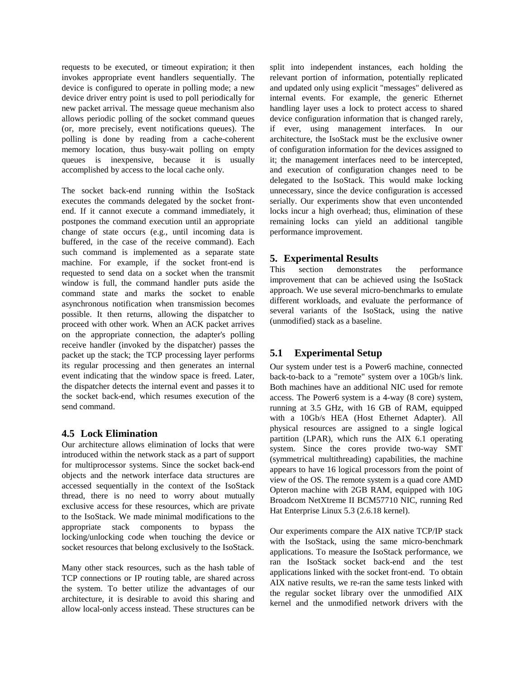requests to be executed, or timeout expiration; it then invokes appropriate event handlers sequentially. The device is configured to operate in polling mode; a new device driver entry point is used to poll periodically for new packet arrival. The message queue mechanism also allows periodic polling of the socket command queues (or, more precisely, event notifications queues). The polling is done by reading from a cache-coherent memory location, thus busy-wait polling on empty queues is inexpensive, because it is usually accomplished by access to the local cache only.

The socket back-end running within the IsoStack executes the commands delegated by the socket frontend. If it cannot execute a command immediately, it postpones the command execution until an appropriate change of state occurs (e.g., until incoming data is buffered, in the case of the receive command). Each such command is implemented as a separate state machine. For example, if the socket front-end is requested to send data on a socket when the transmit window is full, the command handler puts aside the command state and marks the socket to enable asynchronous notification when transmission becomes possible. It then returns, allowing the dispatcher to proceed with other work. When an ACK packet arrives on the appropriate connection, the adapter's polling receive handler (invoked by the dispatcher) passes the packet up the stack; the TCP processing layer performs its regular processing and then generates an internal event indicating that the window space is freed. Later, the dispatcher detects the internal event and passes it to the socket back-end, which resumes execution of the send command.

## **4.5 Lock Elimination**

Our architecture allows elimination of locks that were introduced within the network stack as a part of support for multiprocessor systems. Since the socket back-end objects and the network interface data structures are accessed sequentially in the context of the IsoStack thread, there is no need to worry about mutually exclusive access for these resources, which are private to the IsoStack. We made minimal modifications to the appropriate stack components to bypass the locking/unlocking code when touching the device or socket resources that belong exclusively to the IsoStack.

Many other stack resources, such as the hash table of TCP connections or IP routing table, are shared across the system. To better utilize the advantages of our architecture, it is desirable to avoid this sharing and allow local-only access instead. These structures can be

split into independent instances, each holding the relevant portion of information, potentially replicated and updated only using explicit "messages" delivered as internal events. For example, the generic Ethernet handling layer uses a lock to protect access to shared device configuration information that is changed rarely, if ever, using management interfaces. In our architecture, the IsoStack must be the exclusive owner of configuration information for the devices assigned to it; the management interfaces need to be intercepted, and execution of configuration changes need to be delegated to the IsoStack. This would make locking unnecessary, since the device configuration is accessed serially. Our experiments show that even uncontended locks incur a high overhead; thus, elimination of these remaining locks can yield an additional tangible performance improvement.

# **5. Experimental Results**

This section demonstrates the performance improvement that can be achieved using the IsoStack approach. We use several micro-benchmarks to emulate different workloads, and evaluate the performance of several variants of the IsoStack, using the native (unmodified) stack as a baseline.

# **5.1 Experimental Setup**

Our system under test is a Power6 machine, connected back-to-back to a "remote" system over a 10Gb/s link. Both machines have an additional NIC used for remote access. The Power6 system is a 4-way (8 core) system, running at 3.5 GHz, with 16 GB of RAM, equipped with a 10Gb/s HEA (Host Ethernet Adapter). All physical resources are assigned to a single logical partition (LPAR), which runs the AIX 6.1 operating system. Since the cores provide two-way SMT (symmetrical multithreading) capabilities, the machine appears to have 16 logical processors from the point of view of the OS. The remote system is a quad core AMD Opteron machine with 2GB RAM, equipped with 10G Broadcom NetXtreme II BCM57710 NIC, running Red Hat Enterprise Linux 5.3 (2.6.18 kernel).

Our experiments compare the AIX native TCP/IP stack with the IsoStack, using the same micro-benchmark applications. To measure the IsoStack performance, we ran the IsoStack socket back-end and the test applications linked with the socket front-end. To obtain AIX native results, we re-ran the same tests linked with the regular socket library over the unmodified AIX kernel and the unmodified network drivers with the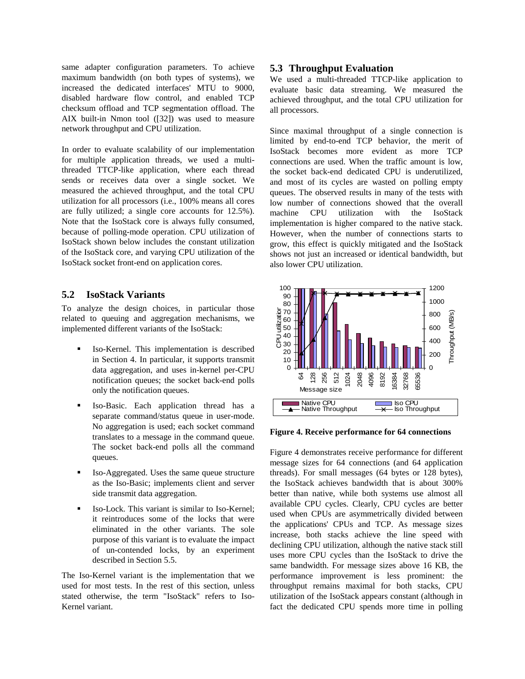same adapter configuration parameters. To achieve maximum bandwidth (on both types of systems), we increased the dedicated interfaces' MTU to 9000, disabled hardware flow control, and enabled TCP checksum offload and TCP segmentation offload. The AIX built-in Nmon tool ([32]) was used to measure network throughput and CPU utilization.

In order to evaluate scalability of our implementation for multiple application threads, we used a multithreaded TTCP-like application, where each thread sends or receives data over a single socket. We measured the achieved throughput, and the total CPU utilization for all processors (i.e., 100% means all cores are fully utilized; a single core accounts for 12.5%). Note that the IsoStack core is always fully consumed, because of polling-mode operation. CPU utilization of IsoStack shown below includes the constant utilization of the IsoStack core, and varying CPU utilization of the IsoStack socket front-end on application cores.

## **5.2 IsoStack Variants**

To analyze the design choices, in particular those related to queuing and aggregation mechanisms, we implemented different variants of the IsoStack:

- **Iso-Kernel.** This implementation is described in Section 4. In particular, it supports transmit data aggregation, and uses in-kernel per-CPU notification queues; the socket back-end polls only the notification queues.
- Iso-Basic. Each application thread has a separate command/status queue in user-mode. No aggregation is used; each socket command translates to a message in the command queue. The socket back-end polls all the command queues.
- Iso-Aggregated. Uses the same queue structure as the Iso-Basic; implements client and server side transmit data aggregation.
- Iso-Lock. This variant is similar to Iso-Kernel; it reintroduces some of the locks that were eliminated in the other variants. The sole purpose of this variant is to evaluate the impact of un-contended locks, by an experiment described in Section 5.5.

The Iso-Kernel variant is the implementation that we used for most tests. In the rest of this section, unless stated otherwise, the term "IsoStack" refers to Iso-Kernel variant.

## **5.3 Throughput Evaluation**

We used a multi-threaded TTCP-like application to evaluate basic data streaming. We measured the achieved throughput, and the total CPU utilization for all processors.

Since maximal throughput of a single connection is limited by end-to-end TCP behavior, the merit of IsoStack becomes more evident as more TCP connections are used. When the traffic amount is low, the socket back-end dedicated CPU is underutilized, and most of its cycles are wasted on polling empty queues. The observed results in many of the tests with low number of connections showed that the overall machine CPU utilization with the IsoStack implementation is higher compared to the native stack. However, when the number of connections starts to grow, this effect is quickly mitigated and the IsoStack shows not just an increased or identical bandwidth, but also lower CPU utilization.



**Figure 4. Receive performance for 64 connections**

Figure 4 demonstrates receive performance for different message sizes for 64 connections (and 64 application threads). For small messages (64 bytes or 128 bytes), the IsoStack achieves bandwidth that is about 300% better than native, while both systems use almost all available CPU cycles. Clearly, CPU cycles are better used when CPUs are asymmetrically divided between the applications' CPUs and TCP. As message sizes increase, both stacks achieve the line speed with declining CPU utilization, although the native stack still uses more CPU cycles than the IsoStack to drive the same bandwidth. For message sizes above 16 KB, the performance improvement is less prominent: the throughput remains maximal for both stacks, CPU utilization of the IsoStack appears constant (although in fact the dedicated CPU spends more time in polling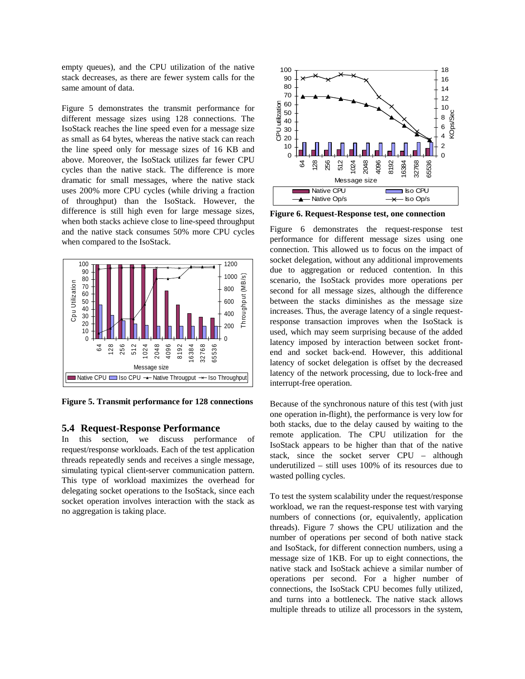empty queues), and the CPU utilization of the native stack decreases, as there are fewer system calls for the same amount of data.

Figure 5 demonstrates the transmit performance for different message sizes using 128 connections. The IsoStack reaches the line speed even for a message size as small as 64 bytes, whereas the native stack can reach the line speed only for message sizes of 16 KB and above. Moreover, the IsoStack utilizes far fewer CPU cycles than the native stack. The difference is more dramatic for small messages, where the native stack uses 200% more CPU cycles (while driving a fraction of throughput) than the IsoStack. However, the difference is still high even for large message sizes, when both stacks achieve close to line-speed throughput and the native stack consumes 50% more CPU cycles when compared to the IsoStack.



**Figure 5. Transmit performance for 128 connections** 

#### **5.4 Request-Response Performance**

In this section, we discuss performance of request/response workloads. Each of the test application threads repeatedly sends and receives a single message, simulating typical client-server communication pattern. This type of workload maximizes the overhead for delegating socket operations to the IsoStack, since each socket operation involves interaction with the stack as no aggregation is taking place.



**Figure 6. Request-Response test, one connection** 

Figure 6 demonstrates the request-response test performance for different message sizes using one connection. This allowed us to focus on the impact of socket delegation, without any additional improvements due to aggregation or reduced contention. In this scenario, the IsoStack provides more operations per second for all message sizes, although the difference between the stacks diminishes as the message size increases. Thus, the average latency of a single requestresponse transaction improves when the IsoStack is used, which may seem surprising because of the added latency imposed by interaction between socket frontend and socket back-end. However, this additional latency of socket delegation is offset by the decreased latency of the network processing, due to lock-free and interrupt-free operation.

Because of the synchronous nature of this test (with just one operation in-flight), the performance is very low for both stacks, due to the delay caused by waiting to the remote application. The CPU utilization for the IsoStack appears to be higher than that of the native stack, since the socket server CPU – although underutilized – still uses 100% of its resources due to wasted polling cycles.

To test the system scalability under the request/response workload, we ran the request-response test with varying numbers of connections (or, equivalently, application threads). Figure 7 shows the CPU utilization and the number of operations per second of both native stack and IsoStack, for different connection numbers, using a message size of 1KB. For up to eight connections, the native stack and IsoStack achieve a similar number of operations per second. For a higher number of connections, the IsoStack CPU becomes fully utilized, and turns into a bottleneck. The native stack allows multiple threads to utilize all processors in the system,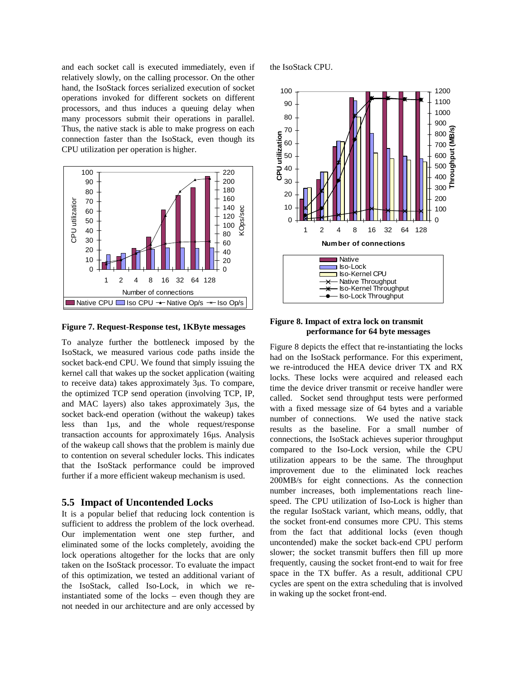and each socket call is executed immediately, even if relatively slowly, on the calling processor. On the other hand, the IsoStack forces serialized execution of socket operations invoked for different sockets on different processors, and thus induces a queuing delay when many processors submit their operations in parallel. Thus, the native stack is able to make progress on each connection faster than the IsoStack, even though its CPU utilization per operation is higher.



**Figure 7. Request-Response test, 1KByte messages** 

To analyze further the bottleneck imposed by the IsoStack, we measured various code paths inside the socket back-end CPU. We found that simply issuing the kernel call that wakes up the socket application (waiting to receive data) takes approximately 3µs. To compare, the optimized TCP send operation (involving TCP, IP, and MAC layers) also takes approximately 3µs, the socket back-end operation (without the wakeup) takes less than 1µs, and the whole request/response transaction accounts for approximately 16µs. Analysis of the wakeup call shows that the problem is mainly due to contention on several scheduler locks. This indicates that the IsoStack performance could be improved further if a more efficient wakeup mechanism is used.

#### **5.5 Impact of Uncontended Locks**

It is a popular belief that reducing lock contention is sufficient to address the problem of the lock overhead. Our implementation went one step further, and eliminated some of the locks completely, avoiding the lock operations altogether for the locks that are only taken on the IsoStack processor. To evaluate the impact of this optimization, we tested an additional variant of the IsoStack, called Iso-Lock, in which we reinstantiated some of the locks – even though they are not needed in our architecture and are only accessed by

the IsoStack CPU.



**Figure 8. Impact of extra lock on transmit performance for 64 byte messages** 

Figure 8 depicts the effect that re-instantiating the locks had on the IsoStack performance. For this experiment, we re-introduced the HEA device driver TX and RX locks. These locks were acquired and released each time the device driver transmit or receive handler were called. Socket send throughput tests were performed with a fixed message size of 64 bytes and a variable number of connections. We used the native stack results as the baseline. For a small number of connections, the IsoStack achieves superior throughput compared to the Iso-Lock version, while the CPU utilization appears to be the same. The throughput improvement due to the eliminated lock reaches 200MB/s for eight connections. As the connection number increases, both implementations reach linespeed. The CPU utilization of Iso-Lock is higher than the regular IsoStack variant, which means, oddly, that the socket front-end consumes more CPU. This stems from the fact that additional locks (even though uncontended) make the socket back-end CPU perform slower; the socket transmit buffers then fill up more frequently, causing the socket front-end to wait for free space in the TX buffer. As a result, additional CPU cycles are spent on the extra scheduling that is involved in waking up the socket front-end.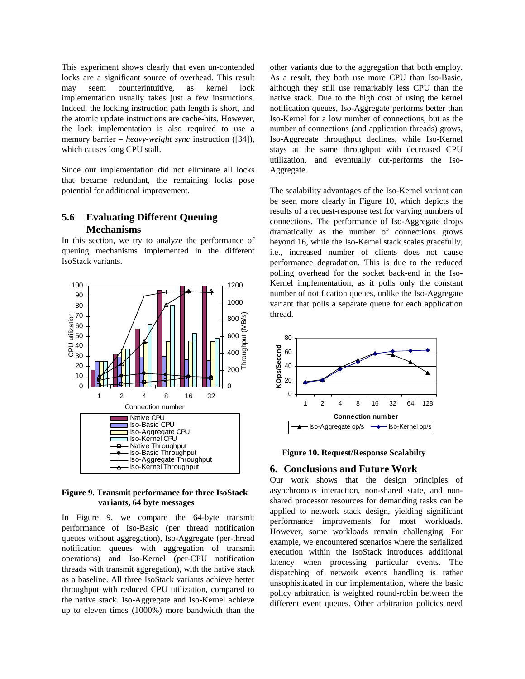This experiment shows clearly that even un-contended locks are a significant source of overhead. This result may seem counterintuitive, as kernel lock implementation usually takes just a few instructions. Indeed, the locking instruction path length is short, and the atomic update instructions are cache-hits. However, the lock implementation is also required to use a memory barrier – *heavy-weight sync* instruction ([34]), which causes long CPU stall.

Since our implementation did not eliminate all locks that became redundant, the remaining locks pose potential for additional improvement.

# **5.6 Evaluating Different Queuing Mechanisms**

In this section, we try to analyze the performance of queuing mechanisms implemented in the different IsoStack variants.



#### **Figure 9. Transmit performance for three IsoStack variants, 64 byte messages**

In Figure 9, we compare the 64-byte transmit performance of Iso-Basic (per thread notification queues without aggregation), Iso-Aggregate (per-thread notification queues with aggregation of transmit operations) and Iso-Kernel (per-CPU notification threads with transmit aggregation), with the native stack as a baseline. All three IsoStack variants achieve better throughput with reduced CPU utilization, compared to the native stack. Iso-Aggregate and Iso-Kernel achieve up to eleven times (1000%) more bandwidth than the other variants due to the aggregation that both employ. As a result, they both use more CPU than Iso-Basic, although they still use remarkably less CPU than the native stack. Due to the high cost of using the kernel notification queues, Iso-Aggregate performs better than Iso-Kernel for a low number of connections, but as the number of connections (and application threads) grows, Iso-Aggregate throughput declines, while Iso-Kernel stays at the same throughput with decreased CPU utilization, and eventually out-performs the Iso-Aggregate.

The scalability advantages of the Iso-Kernel variant can be seen more clearly in Figure 10, which depicts the results of a request-response test for varying numbers of connections. The performance of Iso-Aggregate drops dramatically as the number of connections grows beyond 16, while the Iso-Kernel stack scales gracefully, i.e., increased number of clients does not cause performance degradation. This is due to the reduced polling overhead for the socket back-end in the Iso-Kernel implementation, as it polls only the constant number of notification queues, unlike the Iso-Aggregate variant that polls a separate queue for each application thread.





#### **6. Conclusions and Future Work**

Our work shows that the design principles of asynchronous interaction, non-shared state, and nonshared processor resources for demanding tasks can be applied to network stack design, yielding significant performance improvements for most workloads. However, some workloads remain challenging. For example, we encountered scenarios where the serialized execution within the IsoStack introduces additional latency when processing particular events. The dispatching of network events handling is rather unsophisticated in our implementation, where the basic policy arbitration is weighted round-robin between the different event queues. Other arbitration policies need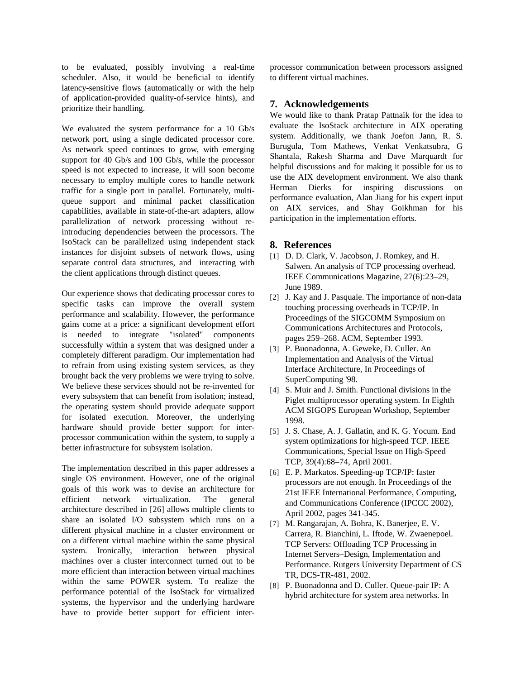to be evaluated, possibly involving a real-time scheduler. Also, it would be beneficial to identify latency-sensitive flows (automatically or with the help of application-provided quality-of-service hints), and prioritize their handling.

We evaluated the system performance for a 10 Gb/s network port, using a single dedicated processor core. As network speed continues to grow, with emerging support for 40 Gb/s and 100 Gb/s, while the processor speed is not expected to increase, it will soon become necessary to employ multiple cores to handle network traffic for a single port in parallel. Fortunately, multiqueue support and minimal packet classification capabilities, available in state-of-the-art adapters, allow parallelization of network processing without reintroducing dependencies between the processors. The IsoStack can be parallelized using independent stack instances for disjoint subsets of network flows, using separate control data structures, and interacting with the client applications through distinct queues.

Our experience shows that dedicating processor cores to specific tasks can improve the overall system performance and scalability. However, the performance gains come at a price: a significant development effort is needed to integrate "isolated" components successfully within a system that was designed under a completely different paradigm. Our implementation had to refrain from using existing system services, as they brought back the very problems we were trying to solve. We believe these services should not be re-invented for every subsystem that can benefit from isolation; instead, the operating system should provide adequate support for isolated execution. Moreover, the underlying hardware should provide better support for interprocessor communication within the system, to supply a better infrastructure for subsystem isolation.

The implementation described in this paper addresses a single OS environment. However, one of the original goals of this work was to devise an architecture for efficient network virtualization. The general architecture described in [26] allows multiple clients to share an isolated I/O subsystem which runs on a different physical machine in a cluster environment or on a different virtual machine within the same physical system. Ironically, interaction between physical machines over a cluster interconnect turned out to be more efficient than interaction between virtual machines within the same POWER system. To realize the performance potential of the IsoStack for virtualized systems, the hypervisor and the underlying hardware have to provide better support for efficient interprocessor communication between processors assigned to different virtual machines.

### **7. Acknowledgements**

We would like to thank Pratap Pattnaik for the idea to evaluate the IsoStack architecture in AIX operating system. Additionally, we thank Joefon Jann, R. S. Burugula, Tom Mathews, Venkat Venkatsubra, G Shantala, Rakesh Sharma and Dave Marquardt for helpful discussions and for making it possible for us to use the AIX development environment. We also thank Herman Dierks for inspiring discussions on performance evaluation, Alan Jiang for his expert input on AIX services, and Shay Goikhman for his participation in the implementation efforts.

### **8. References**

- [1] D. D. Clark, V. Jacobson, J. Romkey, and H. Salwen. An analysis of TCP processing overhead. IEEE Communications Magazine, 27(6):23–29, June 1989.
- [2] J. Kay and J. Pasquale. The importance of non-data touching processing overheads in TCP/IP. In Proceedings of the SIGCOMM Symposium on Communications Architectures and Protocols, pages 259–268. ACM, September 1993.
- [3] P. Buonadonna, A. Geweke, D. Culler. An Implementation and Analysis of the Virtual Interface Architecture, In Proceedings of SuperComputing '98.
- [4] S. Muir and J. Smith. Functional divisions in the Piglet multiprocessor operating system. In Eighth ACM SIGOPS European Workshop, September 1998.
- [5] J. S. Chase, A. J. Gallatin, and K. G. Yocum. End system optimizations for high-speed TCP. IEEE Communications, Special Issue on High-Speed TCP, 39(4):68–74, April 2001.
- [6] E. P. Markatos. Speeding-up TCP/IP: faster processors are not enough. In Proceedings of the 21st IEEE International Performance, Computing, and Communications Conference (IPCCC 2002), April 2002, pages 341-345.
- [7] M. Rangarajan, A. Bohra, K. Banerjee, E. V. Carrera, R. Bianchini, L. Iftode, W. Zwaenepoel. TCP Servers: Offloading TCP Processing in Internet Servers–Design, Implementation and Performance. Rutgers University Department of CS TR, DCS-TR-481, 2002.
- [8] P. Buonadonna and D. Culler. Queue-pair IP: A hybrid architecture for system area networks. In